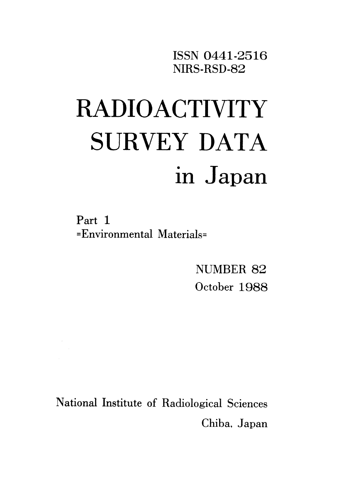ISSN 0441-2516 NIRS-RSD-82

# RADIOACTIVITY SURVEY DATA in Japan

Part 1 =Environmental Materials=

> **NUMBER 82** October 1988

National Institute of Radiological Sciences Chiba, Japan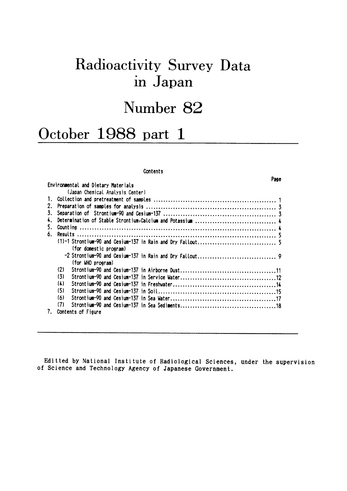# Radioactivity Survey Data in Japan

# Number 82

# October 1988 part 1

#### Contents

|    | rage<br>Environmental and Dietary Materials |  |
|----|---------------------------------------------|--|
|    | (Japan Chemical Analysis Center)            |  |
|    |                                             |  |
| 2. |                                             |  |
| 3. |                                             |  |
|    |                                             |  |
| 5. |                                             |  |
| 6. |                                             |  |
|    |                                             |  |
|    | (for domestic program)                      |  |
|    |                                             |  |
|    | (for WHO program)                           |  |
|    | (2)                                         |  |
|    | (3)                                         |  |
|    | (4)                                         |  |
|    | (5)                                         |  |
|    | (6)                                         |  |
|    | (7)                                         |  |
| 7. | Contents of Figure                          |  |

Editted by National Institute of Radiological Sciences, under the supervision of Science and Technology Agency of Japanese Government.

Page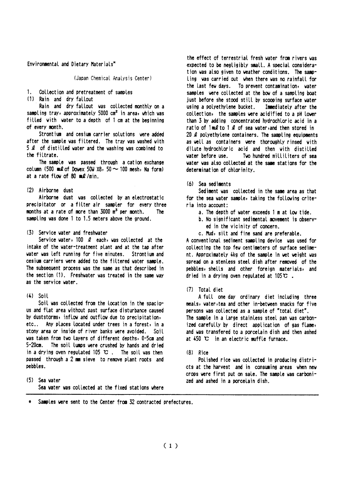Environmental and Dietary Materials\*

(Japan Chemical Analysis Center)

Collection and pretreatment of samples

(1) Rain and dry fallout

Rain and dry fallout was collected monthly on a sampling tray, approximately 5000 cm<sup>2</sup> in area, which was filled with water to a depth of 1 cm at the beginning of every month

Strontium and cesium carrier solutions were added after the sample was filtered. The tray was washed with 5 *Q* of distilled water and the washing was combined to the filtrate.

The sample was passed through a cation exchange column (500 ml of Dowex 50W X8, 50  $\sim$  100 mesh, Na form) at a rate flow of 80 ml/min.

#### (2) Airborne dust

Airborne dust was collected by an electrostatic precipitator or a filter air sampler for every three months at a rate of more than  $3000 \text{ m}^3$  per month. The sampling was done 1 to 1.5 meters above the ground.

#### (3) Service vater and freshwater

Service water,  $100 \, \ell$  each, was collected at the intake of the water-treatment plant and at the tap after water was left running for five minutes. Strontium and cesium carriers were added to the filtered water sample. The subsequent process was the same as that described in the section (1). Freshwater was treated in the same way as the service vater.

#### $(4)$  Soil

Soil was collected from the location in the spacious and flat area without past surface disturbance caused by duststorms, inflow and outflow due to precipitation, etc.. Any places located under trees in a forest, in a stony area or inside of river banks were avoided. Soil was taken from two layers of different depths, 0-5cm and 5-20cm. The soil lumps were crushed by hands and dried in a drying oven regulated 105  $\mathbb{C}$ . The soil was then passed through a 2 mm sieve to remove plant roots and pebbles.

(5) Sea vater Sea water was collected at the fixed stations where

the effect of terrestrial fresh water from rivers was expected to be negligibly small. A special consideration was also given to weather conditions. The samp-Ling was carried out when there was no rainfall for the last few days. To prevent contamination, water samples were collected at the bow of a sampling boat just before she stood still by scooping surface water using a polyethylene bucket. Immediately after the collection, the samples were acidified to a pH lower than 3 by adding concentrated hydrochloric acid in a ratio of  $1 \text{ m2}$  to  $1 \text{ l2}$  of sea water, and then stored in 20 *l* polyethylene containers. The sampling equipments as well as containers were thoroughly rinsed with dilute hydrochloric acid and then with distilled vater hefore use. Two hundred milliliters of sea water was also collected at the same stations for the determination of chlorinity.

 $(6)$  Sea sediments

Sediment was collected in the same area as that for the sea water sample, taking the following criteria into account:

- a. The depth of water exceeds 1 m at low tide.
- b. No significant sedimental movement is observed in the vicinity of concern.
- c. Mud, silt and fine sand are preferable.

A conventional sediment sampling device was used for collecting the top few centimeters of surface sediment. Approximately 4kg of the sample in wet weight was spread on a stenless steel dish after removed of the pebbles, shells and other foreign materials, and dried in a drying oven regulated at  $105^\circ \text{C}$ .

#### (7) Total diet

A full one day ordinary diet including three meals, water, tea and other in-between snacks for five persons was collected as a sample of "total diet" The sample in a large stainless steel pan was carbonized carefully by direct application of gas flame, and was transfered to a porcelain dish and then ashed at  $450$  °C in an electric muffle furnace.

#### $(8)$  Rice

Polished rice was collected in producing districts at the harvest and in consuming areas when new crops were first put on sale. The sample was carbonized and ashed in a porcelain dish.

Samples were sent to the Center from 32 contracted prefectures.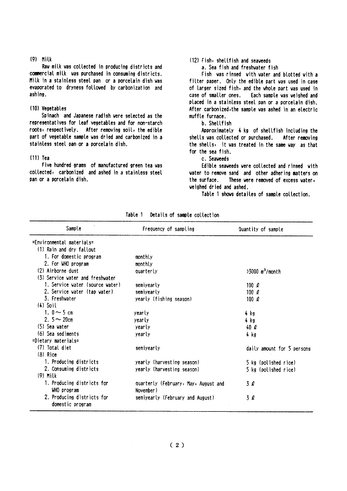#### $(9)$  Milk

Raw milk was collected in producing districts and commercial milk was purchased in consuming districts. Milk in a stainless steel pan or a porcelain dish was evaporated to dryness followed by carbonization and ashing.

#### (10) Vegetables

Spinach and Japanese radish were selected as the representatives for leaf vegetables and for non-starch roots, respectively. After removing soil, the edible part of vegetable sample was dried and carbonized in a stainless steel pan or a porcelain dish.

#### $(11)$  Tea

Five hundred grams of manufactured green tea was collected, carbonized and ashed in a stainless steel pan or a porcelain dish.

## (12) Fish, shellfish and seaweeds

a. Sea fish and freshwater fish

Fish was rinsed with water and blotted with a filter paper. Only the edible part was used in case of larger sized fish, and the whole part was used in case of smaller ones. Each sample was veighed and placed in a stainless steel pan or a porcelain dish. After carbonized, the sample was ashed in an electric muffle furnace.

## b. Shellfish

Approximately 4 kg of shellfish including the shells was collected or purchased. After removing the shells, it was treated in the same way as that for the sea fish.

#### c. Seaveeds

Edible seaveeds vere collected and rinsed with water to remove sand and other adhering matters on the surface. These were removed of excess water, weighed dried and ashed.

Table 1 shows detailes of sample collection.

| Sample                           | Frequency of sampling                | Quantity of sample              |
|----------------------------------|--------------------------------------|---------------------------------|
| =Environmental materials=        |                                      |                                 |
| (1) Rain and dry fallout         |                                      |                                 |
| 1. For domestic program          | monthly                              |                                 |
| 2. For WHO program               | monthly                              |                                 |
| (2) Airborne dust                | quarterly                            | $3000 \text{ m}^3/\text{month}$ |
| (3) Service vater and freshwater |                                      |                                 |
| 1. Service water (source water)  | semiyearly                           | 100 $\Omega$                    |
| 2. Service water (tap water)     | semiyearly                           | 100 $\ell$                      |
| 3. Freshvater                    | yearly (fishing season)              | 100 $\ell$                      |
| $(4)$ Soil                       |                                      |                                 |
| 1. $0 \sim 5$ cm                 | yearly                               | 4 kg                            |
| 2. $5 \sim 20$ cm                | yearly                               | 4 kg                            |
| (5) Sea water                    | yearly                               | 40Q                             |
| (6) Sea sediments                | yearly                               | 4 kg                            |
| =Dietary materials=              |                                      |                                 |
| (7) Total diet                   | semiyearly                           | daily amount for 5 persons      |
| $(8)$ Rice                       |                                      |                                 |
| 1. Producing districts           | yearly (harvesting season)           | 5 kg (polished rice)            |
| 2. Consuming districts           | yearly (harvesting season)           | 5 kg (polished rice)            |
| $(9)$ Milk                       |                                      |                                 |
| 1. Producing districts for       | quarterly (February, May, August and | 3 Q                             |
| WHO program                      | November)                            |                                 |
| 2. Producing districts for       | semiyearly (February and August)     | 3Q                              |
| domestic program                 |                                      |                                 |

Table 1 Details of sample collection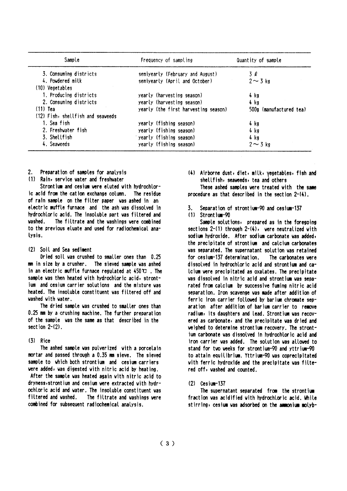| Sample                            | Frequency of sampling                | Quantity of sample      |  |
|-----------------------------------|--------------------------------------|-------------------------|--|
| 3. Consuming districts            | semiyearly (February and August)     | 3 Q                     |  |
| 4. Powdered milk                  | semiyearly (April and October)       | $2 \sim 3$ kg           |  |
| (10) Vegetables                   |                                      |                         |  |
| 1. Producing districts            | yearly (harvesting season)           | $4$ kg                  |  |
| 2. Consuming districts            | yearly (harvesting season)           | $4$ kg                  |  |
| $(11)$ Tea                        | yearly (the first harvesting season) | 500g (manufactured tea) |  |
| (12) Fish, shellfish and seaveeds |                                      |                         |  |
| 1. Sea fish                       | yearly (fishing season)              | 4 kg                    |  |
| 2. Freshwater fish                | yearly (fishing season)              | 4 kg                    |  |
| 3. Shellfish                      | yearly (fishing season)              | 4 kg                    |  |
| 4. Seaveeds                       | yearly (fishing season)              | $2 \sim 3$ kg           |  |

- $\overline{2}$ . Preparation of samples for analysis
- (1) Rain, service water and freshwater

Strontium and cesium were eluted with hydrochloric acid from the cation exchange column. The residue of rain sample on the filter paper was ashed in an electric muffle furnace and the ash was dissolved in hydrochloric acid. The insoluble part was filtered and vashed. The filtrate and the vashings vere combined to the previous eluate and used for radiochemical ana-Lysis.

## (2) Soil and Sea sediment

Dried soil was crushed to smaller ones than 0.25 mm in size by a crusher. The sieved sample was ashed in an electric muffle furnace regulated at  $450^\circ \text{C}$ . The sample was then heated with hydrochloric acid, strontjum and cesium carrier solutions and the mixture was heated. The insoluble constituent was filtered off and vashed with vater.

The dried sample was crushed to smaller ones than 0.25 mm by a crushing machine. The further preparation of the sample was the same as that described in the section  $2-(2)$ .

## $(3)$  Rice

The ashed sample was pulverized with a porcelain mortar and passed through a 0.35 mm sieve. The sieved sample to which both strontium and cesium carriers were added, was digested with nitric acid by heating.

After the sample was heated again with nitric acid to dryness, strontium and cesium were extracted with hydrochloric acid and vater. The insoluble constituent was filtered and vashed. The filtrate and vashings vere combined for subsequent radiochemical analysis.

(4) Airborne dust, diet, milk, vegetables, fish and shellfish, seaveeds, tea and others

These ashed samples were treated with the same procedure as that described in the section 2-(4).

Separation of strontium-90 and cesium-137  $\overline{\mathbf{3}}$ .

#### $(1)$  Strontium-90

Sample solutions, prepared as in the foregoing sections  $2-(1)$  through  $2-(4)$ , were neutralized with sodium hydroxide. After sodium carbonate was added, the precipitate of strontium and calcium carbonates was separated. The supernatant solution was retained for cesium-137 determination. The carbonates vere dissolved in hydrochloric acid and strontium and ca-Icium were precipitated as oxalates. The precipitate was dissolved in nitric acid and strontium was separated from calcium by successive fuming nitric acid separation. Iron scavenge was made after addition of ferric iron carrier followed by barium chromate separation after addition of barium carrier to remove radium, its daughters and lead. Strontium was recovered as carbonate, and the precipitate was dried and veighed to determine strontium recovery. The strontium carbonate was dissolved in hydrochloric acid and iron carrier was added. The solution was allowed to stand for two weeks for strontium-90 and yttrium-90 to attain equilibrium. Yttrium-90 was coprecipitated with ferric hydroxide and the precipitate was filtered off, vashed and counted.

 $(2)$  Cesium-137

The supernatant separated from the strontium fraction was acidified with hydrochloric acid. While stirring, cesium was adsorbed on the ammonium molyb-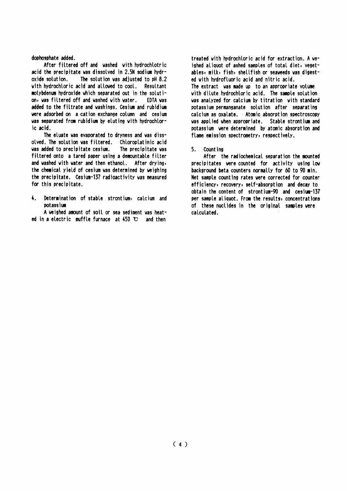#### dophosphate added.

After filtered off and washed with hydrochlotric acid the precipitate was dissolved in 2.5N sodium hydroxide solution. The solution was adjusted to pH 8.2 with hydrochloric acid and allowed to cool. Resultant molybdenum hydroxide which separated out in the solution, was filtered off and washed with water. **FDTA VAS** added to the filtrate and washings. Cesium and rubidium were adsorbed on a cation exchange column and cesium was separated from rubidium by eluting with hydrochloric acid.

The eluate was evaporated to dryness and was dissolved. The solution was filtered. Chloroplatinic acid was added to precipitate cesium. The precipitate was filtered onto a tared paper using a demountable filter and washed with water and then ethanol. After drying, the chemical yield of cesium was determined by weighing the precipitate. Cesium-137 radioactivity was measured for this precipitate.

 $\mathbf{L}$ Determination of stable strontium, calcium and potassium

A weighed amount of soil or sea sediment was heated in a electric muffle furnace at  $450 \text{ C}$  and then

treated with hydrochloric acid for extraction. A weighed aliquot of ashed samples of total diet, vegetables, milk, fish, shellfish or seaveeds was digested with hydrofluoric acid and nitric acid. The extract was made up to an appropriate volume with dilute hydrochloric acid. The sample solution was analyzed for calcium by titration with standard potassium permanganate solution after separating calcium as oxalate. Atomic absorption spectroscopy was applied when appropriate. Stable strontium and potassium were determined by atomic absorption and flame emission spectrometry, respectively.

 $5<sub>1</sub>$ Count ing

After the radiochemical separation the mounted precipitates were counted for activity using low background beta counters normally for 60 to 90 min. Net sample counting rates vere corrected for counter efficiency, recovery, self-absorption and decay to obtain the content of strontium-90 and cesium-137 per sample aliquot. From the results, concentrations of these nuclides in the original samples were calculated.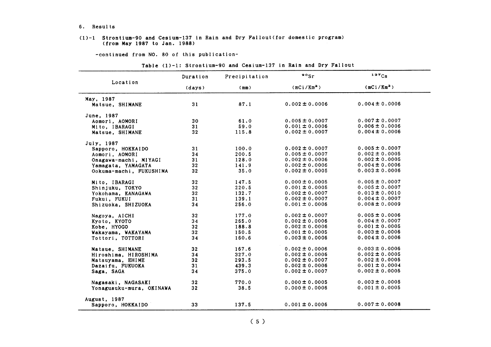#### 6. Results

#### (1)-1 Strontium-90 and Cesium-137 in Rain and Dry Fallout (for domestic program) (from May 1987 to Jan. 1988)

-continued from NO. 80 of this publication-

#### Table (1)-1: Strontium-90 and Cesium-137 in Rain and Dry Fallout

|                          | Duration        | Precipitation | $\frac{80}{5}$ r       | 137C <sub>S</sub>      |
|--------------------------|-----------------|---------------|------------------------|------------------------|
| Location                 | (days)          | (mm)          | (mCi/Km <sup>2</sup> ) | (mCi/Km <sup>2</sup> ) |
| May, 1987                |                 |               |                        |                        |
| Matsue, SHIMANE          | 31              | 87.1          | $0.002 \pm 0.0006$     | $0.004 \pm 0.0006$     |
| June, 1987               |                 |               |                        |                        |
| Aomori, AOMORI           | 30              | 61.0          | $0.005 \pm 0.0007$     | $0.007 \pm 0.0007$     |
| Mito. IBARAGI            | 31              | 59.0          | $0.001 \pm 0.0006$     | $0.006 \pm 0.0006$     |
| Matsue, SHIMANE          | 32 <sub>2</sub> | 115.8         | $0.002 \pm 0.0007$     | $0.004 \pm 0.0006$     |
| July, 1987               |                 |               |                        |                        |
| Sapporo, HOKKAIDO        | 31              | 100.0         | $0.002 \pm 0.0007$     | $0.005 \pm 0.0007$     |
| Aomori, AOMORI           | 34              | 200.5         | $0.005 \pm 0.0007$     | $0.002 \pm 0.0005$     |
| Onagawa-machi, MIYAGI    | 31              | 128.0         | $0.002 \pm 0.0006$     | $0.002 \pm 0.0005$     |
| Yamagata, YAMAGATA       | 32 <sub>2</sub> | 141.9         | $0.002 \pm 0.0006$     | $0.004 \pm 0.0006$     |
| Ookuma-machi, FUKUSHIMA  | 32 <sub>2</sub> | 35.0          | $0.002 \pm 0.0005$     | $0.003 \pm 0.0006$     |
| Mito, IBARAGI            | 32              | 147.5         | $0.000 \pm 0.0005$     | $0.005 \pm 0.0007$     |
| Shinjuku, TOKYO          | 32 <sub>2</sub> | 220.5         | $0.001 \pm 0.0005$     | $0.005 \pm 0.0007$     |
| Yokohama, KANAGAWA       | 32              | 132.7         | $0.002 \pm 0.0007$     | $0.013 \pm 0.0010$     |
| Fukui, FUKUI             | 31              | 139.1         | $0.002 \pm 0.0007$     | $0.004 \pm 0.0007$     |
| Shizuoka, SHIZUOKA       | 34              | 256.0         | $0.001 \pm 0.0006$     | $0.008 \pm 0.0009$     |
| Nagoya, AICHI            | 32              | 177.0         | $0.002 \pm 0.0007$     | $0.005 \pm 0.0006$     |
| Kyoto, KYOTO             | 34              | 265.0         | $0.002 \pm 0.0006$     | $0.004 \pm 0.0007$     |
| Kobe, HYOGO              | 32              | 188.8         | $0.002 \pm 0.0006$     | $0.001 \pm 0.0005$     |
| Wakayama, WAKAYAMA       | 32              | 150.5         | $0.001 \pm 0.0005$     | $0.003 \pm 0.0006$     |
| Tottori, TOTTORI         | 34              | 160.6         | $0.003 \pm 0.0006$     | $0.004 \pm 0.0006$     |
| Matsue, SHIMANE          | 32 <sub>2</sub> | 167.6         | $0.002 \pm 0.0006$     | $0.003 \pm 0.0006$     |
| Hiroshima, HIROSHIMA     | 34              | 327.0         | $0.002 \pm 0.0006$     | $0.002 \pm 0.0005$     |
| Matsuyama, EHIME         | 32 <sub>2</sub> | 293.5         | $0.002 \pm 0.0007$     | $0.002 \pm 0.0005$     |
| Dazaifu, FUKUOKA         | 31              | 439.3         | $0.002 \pm 0.0006$     | $0.001 \pm 0.0004$     |
| Saga, SAGA               | 34              | 375.0         | $0.002 \pm 0.0007$     | $0.002 \pm 0.0005$     |
| Nagasaki, NAGASAKI       | 32              | 770.0         | $0.000 \pm 0.0005$     | $0.003 \pm 0.0005$     |
| Yonagusuku-mura, OKINAWA | 32 <sub>2</sub> | 38.5          | $0.000 \pm 0.0006$     | $0.001 \pm 0.0005$     |
| August, 1987             |                 |               |                        |                        |
| Sapporo, HOKKAIDO        | 33              | 137.5         | $0.001 \pm 0.0006$     | $0.007 \pm 0.0008$     |

 $(5)$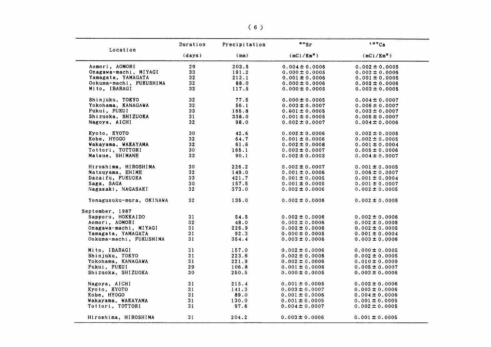|                          | Duration        | Precipitation | $\frac{80}{5}$         | 137Cs                  |
|--------------------------|-----------------|---------------|------------------------|------------------------|
| Location                 | (days)          | (mm)          | (mCi/Km <sup>2</sup> ) | (mCi/Km <sup>2</sup> ) |
| Aomori, AOMORI           | $29$            | 203.5         | $0.004 \pm 0.0006$     | $0.002 \pm 0.0005$     |
| Onagawa-machi, MIYAGI    | 33              | 191.2         | $0.000 \pm 0.0005$     | $0.002 \pm 0.0006$     |
| Yamagata, YAMAGATA       | 32              | 212.1         | $0.001 \pm 0.0006$     | $0.001 \pm 0.0005$     |
| Ookuma-machi, FUKUSHIMA  | 32              | 88.0          | $0.000 \pm 0.0006$     | $0.002 \pm 0.0006$     |
| Mito, IBARAGI            | 32              | 117.5         | $0.000 \pm 0.0005$     | $0.003 \pm 0.0005$     |
| Shinjuku, TOKYO          | 32              | 77.5          | $0.000 \pm 0.0005$     | $0.004 \pm 0.0007$     |
| Yokohama, KANAGAWA       | 32 <sub>2</sub> | 56.1          | $0.003 \pm 0.0007$     | $0.006 \pm 0.0007$     |
| Fukui, FUKUI             | 33              | 165.8         | $0.001 \pm 0.0005$     | $0.003 \pm 0.0007$     |
| Shizuoka, SHIZUOKA       | 31              | 338.0         | $0.001 \pm 0.0005$     | $0.005 \pm 0.0007$     |
| Nagoya, AICHI            | 32              | 98.0          | $0.002 \pm 0.0007$     | $0.004 \pm 0.0006$     |
| Kyoto, KYOTO             | 30              | 42.6          | $0.002 \pm 0.0006$     | $0.002 \pm 0.0005$     |
| Kobe, HYOGO              | 32              | 64.7          | $0.001 \pm 0.0006$     | $0.002 \pm 0.0005$     |
| Wakayama, WAKAYAMA       | 32              | 61.6          | $0.002 \pm 0.0008$     | $0.001 \pm 0.0004$     |
| Tottori, TOTTORI         | 30              | 165.1         | $0.003 \pm 0.0007$     | $0.005 \pm 0.0006$     |
| Matsue, SHIMANE          | 33              | 90.1          | $0.002 \pm 0.0003$     | $0.004 \pm 0.0007$     |
| Hiroshima, HIROSHIMA     | 30              | 226.2         | $0.002 \pm 0.0007$     | $0.001 \pm 0.0005$     |
| Matsuyama, EHIME         | 32 <sub>2</sub> | 149.0         | $0.001 \pm 0.0006$     | $0.006 \pm 0.0007$     |
| Dazaifu, FUKUOKA         | 33              | 421.7         | $0.001 \pm 0.0005$     | $0.001 \pm 0.0004$     |
| Saga, SAGA               | 30              | 157.5         | $0.001 \pm 0.0005$     | $0.001 \pm 0.0007$     |
| Nagasaki, NAGASAKI       | 32              | 373.0         | $0.002 \pm 0.0006$     | $0.002 \pm 0.0005$     |
| Yonagusuku-mura, OKINAWA | 32              | 135.0         | $0.002 \pm 0.0006$     | $0.002 \pm 0.0005$     |
| September, 1987          |                 |               |                        |                        |
| Sapporo, HOKKAIDO        | 31              | 54.5          | $0.002 \pm 0.0006$     | $0.002 \pm 0.0006$     |
| Aomori, AOMORI           | 32              | 48.0          | $0.002 \pm 0.0006$     | $0.002 \pm 0.0005$     |
| Onagawa-machi, MIYAGI    | 31              | 226.9         | $0.002 \pm 0.0006$     | $0.002 \pm 0.0005$     |
| Yamagata, YAMAGATA       | 31              | 92.3          | $0.000 \pm 0.0005$     | $0.001 \pm 0.0004$     |
| Ookuma-machi, FUKUSHIMA  | 31              | 354.4         | $0.003 \pm 0.0006$     | $0.003 \pm 0.0006$     |
| Mito, IBARAGI            | 31              | 157.0         | $0.002 \pm 0.0006$     | $0.000 \pm 0.0005$     |
| Shinjuku, TOKYO          | 31              | 223.6         | $0.002 \pm 0.0006$     | $0.002 \pm 0.0005$     |
| Yokohama, KANAGAWA       | 31              | 221.9         | $0.002 \pm 0.0006$     | $0.010 \pm 0.0009$     |
| Fukui, FUKUI             | 29              | 106.8         | $0.001 \pm 0.0006$     | $0.005 \pm 0.0007$     |
| Shizuoka, SHIZUOKA       | 30              | 250.5         | $0.000 \pm 0.0005$     | $0.003 \pm 0.0006$     |
| Nagoya, AICHI            | 31              | 215.4         | $0.001 \pm 0.0005$     | $0.003 \pm 0.0006$     |
| Kyoto, KYOTO             | 31              | 141.3         | $0.003 \pm 0.0007$     | $0.003 \pm 0.0006$     |
| Kobe, HYOGO              | 31              | 89.0          | $0.001 \pm 0.0006$     | $0.004 \pm 0.0006$     |
| Wakayama, WAKAYAMA       | 31              | 130.0         | $0.001 \pm 0.0005$     | $0.001 \pm 0.0005$     |
| Tottori, TOTTORI         | 31              | 97.6          | $0.004 \pm 0.0007$     | $0.002 \pm 0.0005$     |
| Hiroshima, HIROSHIMA     | 31              | 204.2         | $0.003 \pm 0.0006$     | $0.001 \pm 0.0005$     |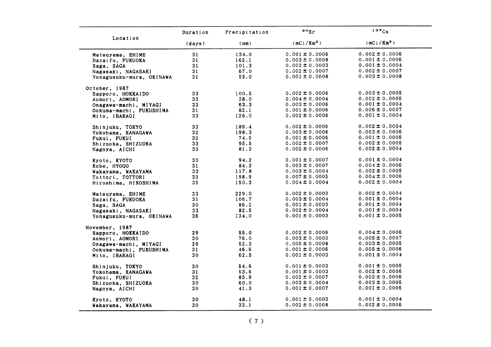|                          | Duration | Precipitation | $\cdot$ $\cdot$ sr     | $137C_S$           |
|--------------------------|----------|---------------|------------------------|--------------------|
| Location                 | (days)   | (mm)          | (mCi/Km <sup>2</sup> ) | $(mCi/Km^2)$       |
| Matsuyama, EHIME         | 31       | 134.0         | $0.001 \pm 0.0006$     | $0.002 \pm 0.0006$ |
| Dazaifu, FUKUOKA         | 31       | 162.1         | $0.003 \pm 0.0008$     | $0.001 \pm 0.0006$ |
| Saga, SAGA               | 31       | 101.3         | $0.002 \pm 0.0003$     | $0.001 \pm 0.0004$ |
| Nagasaki, NAGASAKI       | 31       | 67.0          | $0.002 \pm 0.0007$     | $0.002 \pm 0.0007$ |
| Yonagusuku-mura, OKINAWA | 31       | 55.0          | $0.001 \pm 0.0008$     | $0.003 \pm 0.0008$ |
| October, 1987            |          |               |                        |                    |
| Sapporo, HOKKAIDO        | 33       | 100.5         | $0.002 \pm 0.0006$     | $0.003 \pm 0.0005$ |
| Aomori, AOMORI           | 33       | 38.0          | $0.004 \pm 0.0004$     | $0.002 \pm 0.0005$ |
| Onagawa-machi, MIYAGI    | 33       | 63.3          | $0.003 \pm 0.0006$     | $0.001 \pm 0.0004$ |
| Ookuma-machi, FUKUSHIMA  | 31       | 82.1          | $0.001 \pm 0.0006$     | $0.006 \pm 0.0007$ |
| Mito, IBARAGI            | 33       | 126.0         | $0.002 \pm 0.0006$     | $0.001 \pm 0.0004$ |
| Shinjuku, TOKYO          | 33       | 189.4         | $0.002 \pm 0.0006$     | $0.002 \pm 0.0004$ |
| Yokohama, KANAGAWA       | 32       | 198.3         | $0.003 \pm 0.0006$     | $0.003 \pm 0.0006$ |
| Fukui, FUKUI             | 32       | 74.5          | $0.001 \pm 0.0006$     | $0.001 \pm 0.0005$ |
| Shizuoka, SHIZUOKA       | 33       | 95.5          | $0.002 \pm 0.0007$     | $0.002 \pm 0.0005$ |
| Nagoya, AICHI            | 33       | 81.3          | $0.002 \pm 0.0006$     | $0.002 \pm 0.0004$ |
| Kyoto, KYOTO             | 33       | 94.2          | $0.001 \pm 0.0007$     | $0.001 \pm 0.0004$ |
| Kobe, HYOGO              | 31       | 84.3          | $0.003 \pm 0.0007$     | $0.004 \pm 0.0006$ |
| Wakayama, WAKAYAMA       | 33       | 117.8         | $0.003 \pm 0.0004$     | $0.002 \pm 0.0005$ |
| Tottori, TOTTORI         | 33       | 198.9         | $0.007 \pm 0.0005$     | $0.004 \pm 0.0006$ |
| Hiroshima, HIROSHIMA     | 35       | 150.3         | $0.004 \pm 0.0004$     | $0.002 \pm 0.0004$ |
| Matsuyama, EHIME         | 33       | 229.0         | $0.002 \pm 0.0003$     | $0.002 \pm 0.0004$ |
| Dazaifu, FUKUOKA         | 31       | 106.7         | $0.003 \pm 0.0004$     | $0.001 \pm 0.0004$ |
| Saga, SAGA               | 30       | 86.2          | $0.001 \pm 0.0003$     | $0.001 \pm 0.0004$ |
| Nagasaki, NAGASAKI       | 33       | 82.5          | $0.002 \pm 0.0004$     | $0.001 \pm 0.0004$ |
| Yonagusuku-mura, OKINAWA | 36       | 134.0         | $0.001 \pm 0.0003$     | $0.001 \pm 0.0005$ |
| November, 1987           |          |               |                        |                    |
| Sapporo, HOKKAIDO        | 29       | 55.0          | $0.002 \pm 0.0006$     | $0.004 \pm 0.0006$ |
| Aomori, AOMORI           | 30       | 76.0          | $0.003 \pm 0.0003$     | $0.005 \pm 0.0007$ |
| Onagawa-machi, MIYAGI    | 29       | 52.3          | $0.005 \pm 0.0008$     | $0.003 \pm 0.0005$ |
| Ookuma-machi, FUKUSHIMA  | 31       | 46.6          | $0.001 \pm 0.0006$     | $0.005 \pm 0.0006$ |
| Mito, IBARAGI            | 30       | 62.5          | $0.001 \pm 0.0003$     | $0.001 \pm 0.0004$ |
| Shinjuku, TOKYO          | 30       | 54.6          | $0.001 \pm 0.0003$     | $0.001 \pm 0.0005$ |
| Yokohama, KANAGAWA       | 31       | 53.6          | $0.001 \pm 0.0003$     | $0.002 \pm 0.0006$ |
| Fukui, FUKUI             | 32       | 83.9          | $0.002 \pm 0.0007$     | $0.003 \pm 0.0006$ |
| Shizuoka, SHIZUOKA       | 30       | 60.0          | $0.003 \pm 0.0004$     | $0.003 \pm 0.0005$ |
| Nagoya, AICHI            | 30       | 41.3          | $0.001 \pm 0.0007$     | $0.001 \pm 0.0005$ |
| Kyoto, KYOTO             | 30       | 48.1          | $0.001 \pm 0.0003$     | $0.001 \pm 0.0004$ |
| Wakayama, WAKAYAMA       | 30       | 33.1          | $0.002 \pm 0.0008$     | $0.002 \pm 0.0006$ |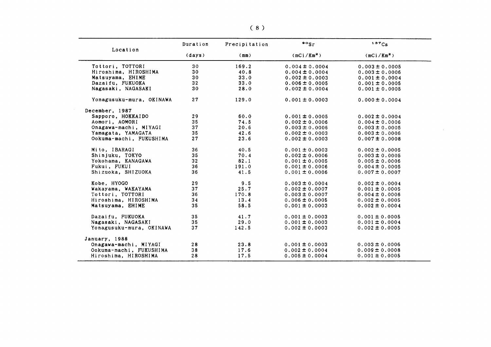| Location                 | Duration        | Precipitation | $\cdot$ $\cdot$        | 137Cs              |
|--------------------------|-----------------|---------------|------------------------|--------------------|
|                          | (days)          | (mm)          | (mCi/Km <sup>2</sup> ) | $(mCi/Km^2)$       |
| Tottori, TOTTORI         | 30              | 169.2         | $0.004 \pm 0.0004$     | $0.003 \pm 0.0005$ |
| Hiroshima, HIROSHIMA     | 30              | 40.8          | $0.004 \pm 0.0004$     | $0.003 \pm 0.0006$ |
| Matsuyama, EHIME         | 30              | 33.0          | $0.002 \pm 0.0003$     | $0.001 \pm 0.0004$ |
| Dazaifu, FUKUOKA         | 32              | 33.0          | $0.006 \pm 0.0005$     | $0.001 \pm 0.0005$ |
| Nagasaki, NAGASAKI       | 30              | 28.0          | $0.002 \pm 0.0004$     | $0.001 \pm 0.0005$ |
| Yonagusuku-mura, OKINAWA | 27              | 129.0         | $0.001 \pm 0.0003$     | $0.000 \pm 0.0004$ |
| December, 1987           |                 |               |                        |                    |
| Sapporo, HOKKAIDO        | 29              | 60.0          | $0.001 \pm 0.0005$     | $0.002 \pm 0.0004$ |
| Aomori, AOMORI           | 35              | 74.5          | $0.002 \pm 0.0006$     | $0.004 \pm 0.0006$ |
| Onagawa-machi, MIYAGI    | 37              | 20.6          | $0.003 \pm 0.0006$     | $0.003 \pm 0.0005$ |
| Yamagata, YAMAGATA       | 35              | 42.6          | $0.002 \pm 0.0003$     | $0.003 \pm 0.0006$ |
| Ookuma-machi, FUKUSHIMA  | 27              | 23.6          | $0.002 \pm 0.0003$     | $0.007 \pm 0.0008$ |
| Mito, IBARAGI            | 36              | 40.5          | $0.001 \pm 0.0003$     | $0.002 \pm 0.0005$ |
| Shinjuku, TOKYO          | 35              | 70.4          | $0.002 \pm 0.0006$     | $0.003 \pm 0.0005$ |
| Yokohama, KANAGAWA       | 32 <sub>2</sub> | 82.1          | $0.001 \pm 0.0005$     | $0.005 \pm 0.0006$ |
| Fukui, FUKUI             | 36              | 191.0         | $0.001 \pm 0.0006$     | $0.004 \pm 0.0005$ |
| Shizuoka, SHIZUOKA       | 36              | 41.5          | $0.001 \pm 0.0006$     | $0.007 \pm 0.0007$ |
| Kobe, HYOGO              | 29              | 9.5           | $0.003 \pm 0.0004$     | $0.002 \pm 0.0004$ |
| Wakayama, WAKAYAMA       | 37              | 25.7          | $0.002 \pm 0.0007$     | $0.001 \pm 0.0005$ |
| Tottori, TOTTORI         | 36              | 170.8         | $0.003 \pm 0.0007$     | $0.004 \pm 0.0006$ |
| Hiroshima, HIROSHIMA     | 34              | 13.4          | $0.006 \pm 0.0005$     | $0.002 \pm 0.0005$ |
| Matsuyama, EHIME         | 35              | 58.5          | $0.001 \pm 0.0003$     | $0.002 \pm 0.0004$ |
| Dazaifu, FUKUOKA         | 35              | 41.7          | $0.001 \pm 0.0003$     | $0.001 \pm 0.0005$ |
| Nagasaki, NAGASAKI       | 35              | 29.0          | $0.001 \pm 0.0003$     | $0.001 \pm 0.0004$ |
| Yonagusuku-mura, OKINAWA | 37              | 142.5         | $0.002 \pm 0.0003$     | $0.002 \pm 0.0005$ |
| January, 1988            |                 |               |                        |                    |
| Onagawa-machi, MIYAGI    | 28              | 23.8          | $0.001 \pm 0.0003$     | $0.003 \pm 0.0006$ |
| Ookuma-machi, FUKUSHIMA  | 38              | 17.6          | $0.002 \pm 0.0004$     | $0.009 \pm 0.0008$ |
| Hiroshima, HIROSHIMA     | 28              | 17.5          | $0.005 \pm 0.0004$     | $0.001 \pm 0.0005$ |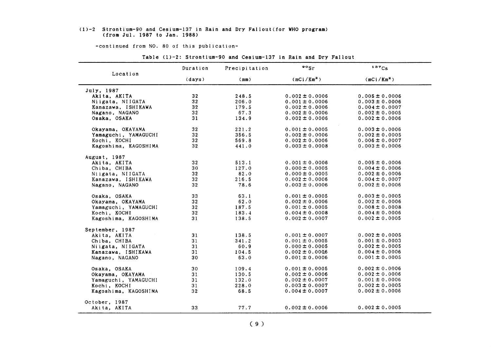#### (1)-2 Strontium-90 and Cesium-137in Rain and Dry Fallout(for VHO progran) (from Jul. 1987 to Jan. 1988)

-continued from NO. 80 of this publication-

|                      | Duration        | Precipitation | $\frac{80}{5}$         | 137Cs                  |
|----------------------|-----------------|---------------|------------------------|------------------------|
| Location             | (days)          | (mm)          | (mCi/Km <sup>2</sup> ) | (mCi/Km <sup>2</sup> ) |
| July, 1987           |                 |               |                        |                        |
| Akita, AKITA         | 32              | 248.5         | $0.002 \pm 0.0006$     | $0.005 \pm 0.0006$     |
| Niigata, NIIGATA     | 32              | 206.0         | $0.001 \pm 0.0006$     | $0.003 \pm 0.0006$     |
| Kanazawa, ISHIKAWA   | 32 <sub>2</sub> | 179.5         | $0.002 \pm 0.0006$     | $0.004 \pm 0.0007$     |
| Nagano, NAGANO       | 32 <sub>2</sub> | 67.3          | $0.002 \pm 0.0006$     | $0.002 \pm 0.0005$     |
| Osaka, OSAKA         | 31              | 134.9         | $0.002 \pm 0.0006$     | $0.002 \pm 0.0006$     |
| Okayama, OKAYAMA     | 32              | 221.2         | $0.001 \pm 0.0005$     | $0.003 \pm 0.0006$     |
| Yamaguchi, YAMAGUCHI | 32              | 356.5         | $0.002 \pm 0.0006$     | $0.002 \pm 0.0005$     |
| Kochi, KOCHI         | 32              | 569.8         | $0.002 \pm 0.0006$     | $0.006 \pm 0.0007$     |
| Kagoshima, KAGOSHIMA | 32              | 441.0         | $0.003 \pm 0.0008$     | $0.003 \pm 0.0006$     |
| August, 1987         |                 |               |                        |                        |
| Akita, AKITA         | 32 <sub>2</sub> | 513.1         | $0.001 \pm 0.0006$     | $0.005 \pm 0.0006$     |
| Chiba, CHIBA         | 30              | 127.0         | $0.000 \pm 0.0005$     | $0.004 \pm 0.0006$     |
| Niigata, NIIGATA     | 32              | 82.0          | $0.000 \pm 0.0005$     | $0.002 \pm 0.0006$     |
| Kanazawa, ISHIKAWA   | 32              | 216.5         | $0.002 \pm 0.0006$     | $0.004 \pm 0.0007$     |
| Nagano, NAGANO       | 32              | 78.6          | $0.003 \pm 0.0006$     | $0.002 \pm 0.0006$     |
| Osaka, OSAKA         | 33              | 63.1          | $0.001 \pm 0.0005$     | $0.003 \pm 0.0005$     |
| Okayama, OKAYAMA     | 32              | 62.0          | $0.002 \pm 0.0006$     | $0.002 \pm 0.0006$     |
| Yamaguchi, YAMAGUCHI | 32              | 187.5         | $0.001 \pm 0.0005$     | $0.008 \pm 0.0008$     |
| Kochi, KOCHI         | 32 <sub>2</sub> | 183.4         | $0.004 \pm 0.0008$     | $0.004 \pm 0.0006$     |
| Kagoshima, KAGOSHIMA | 31              | 138.5         | $0.002 \pm 0.0007$     | $0.002 \pm 0.0005$     |
| September, 1987      |                 |               |                        |                        |
| Akita, AKITA         | 31              | 138.5         | $0.001 \pm 0.0007$     | $0.002 \pm 0.0005$     |
| Chiba, CHIBA         | 31              | 341.2         | $0.001 \pm 0.0005$     | $0.001 \pm 0.0003$     |
| Niigata, NIIGATA     | 31              | 60.9          | $0.000 \pm 0.0005$     | $0.002 \pm 0.0005$     |
| Kanazawa, ISHIKAWA   | 31              | 104.5         | $0.002 \pm 0.0006$     | $0.004 \pm 0.0006$     |
| Nagano, NAGANO       | 30              | 63.0          | $0.001 \pm 0.0006$     | $0.001 \pm 0.0005$     |
| Osaka, OSAKA         | 30              | 109.4         | $0.001 \pm 0.0005$     | $0.002 \pm 0.0006$     |
| Okayama, OKAYAMA     | 31              | 130.5         | $0.002 \pm 0.0006$     | $0.002 \pm 0.0006$     |
| Yamaguchi, YAMAGUCHI | 31              | 132.0         | $0.002 \pm 0.0007$     | $0.001 \pm 0.0006$     |
| Kochi, KOCHI         | 31              | 228.0         | $0.003 \pm 0.0007$     | $0.002 \pm 0.0005$     |
| Kagoshima, KAGOSHIMA | 32              | 68.5          | $0.004 \pm 0.0007$     | $0.002 \pm 0.0006$     |
| October, 1987        |                 |               |                        |                        |
| Akita, AKITA         | 33              | 77.7          | $0.002 \pm 0.0006$     | $0.002 \pm 0.0005$     |

Table  $(1)-2$ : Strontium-90 and Cesium-137 in Rain and Dry Fallout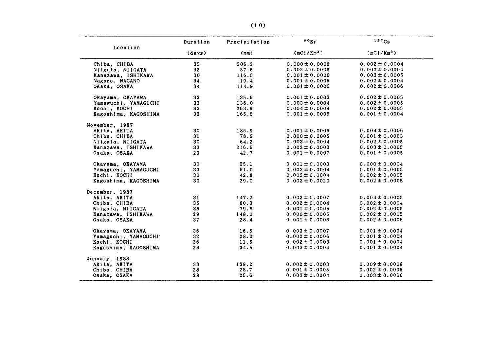|                      | Duration        | Precipitation | $\frac{80}{5}$         | $137C_S$           |
|----------------------|-----------------|---------------|------------------------|--------------------|
| Location             | (days)          | (mm)          | (mCi/Km <sup>2</sup> ) | $(mCi/Km^2)$       |
| Chiba, CHIBA         | 33              | 206.2         | $0.000 \pm 0.0006$     | $0.002 \pm 0.0004$ |
| Niigata, NIIGATA     | 32              | 57.6          | $0.002 \pm 0.0006$     | $0.002 \pm 0.0004$ |
| Kanazawa, ISHIKAWA   | 30              | 116.5         | $0.001 \pm 0.0006$     | $0.003 \pm 0.0005$ |
| Nagano, NAGANO       | 34              | 19.4          | $0.001 \pm 0.0005$     | $0.002 \pm 0.0004$ |
| Osaka, OSAKA         | 34              | 114.9         | $0.001 \pm 0.0006$     | $0.002 \pm 0.0006$ |
| Okayama, OKAYAMA     | 33              | 135.5         | $0.001 \pm 0.0003$     | $0.002 \pm 0.0005$ |
| Yamaguchi, YAMAGUCHI | 33              | 136.0         | $0.003 \pm 0.0004$     | $0.002 \pm 0.0005$ |
| Kochi, KOCHI         | 33              | 263.9         | $0.004 \pm 0.0004$     | $0.002 \pm 0.0005$ |
| Kagoshima, KAGOSHIMA | 33              | 165.5         | $0.001 \pm 0.0005$     | $0.001 \pm 0.0004$ |
| November, 1987       |                 |               |                        |                    |
| Akita, AKITA         | 30              | 186.9         | $0.001 \pm 0.0006$     | $0.004 \pm 0.0006$ |
| Chiba, CHIBA         | 31              | 78.6          | $0.000 \pm 0.0006$     | $0.001 \pm 0.0003$ |
| Niigata, NIIGATA     | 30              | 64.2          | $0.003 \pm 0.0004$     | $0.002 \pm 0.0005$ |
| Kanazawa, ISHIKAWA   | 33              | 216.5         | $0.002 \pm 0.0003$     | $0.003 \pm 0.0005$ |
| Osaka, OSAKA         | 29              | 42.7          | $0.001 \pm 0.0007$     | $0.001 \pm 0.0005$ |
| Okayama, OKAYAMA     | 30              | 35.1          | $0.001 \pm 0.0003$     | $0.000 \pm 0.0004$ |
| Yamaguchi, YAMAGUCHI | 33              | 61.0          | $0.003 \pm 0.0004$     | $0.001 \pm 0.0005$ |
| Kochi, KOCHI         | 30              | 42.8          | $0.003 \pm 0.0004$     | $0.002 \pm 0.0005$ |
| Kagoshima, KAGOSHIMA | 30              | 29.0          | $0.003 \pm 0.0020$     | $0.002 \pm 0.0005$ |
| December, 1987       |                 |               |                        |                    |
| Akita, AKITA         | 31              | 147.2         | $0.002 \pm 0.0007$     | $0.004 \pm 0.0005$ |
| Chiba, CHIBA         | 35              | 80.3          | $0.002 \pm 0.0004$     | $0.002 \pm 0.0004$ |
| Niigata, NIIGATA     | 35              | 79.8          | $0.001 \pm 0.0005$     | $0.002 \pm 0.0005$ |
| Kanazawa, ISHIKAWA   | 29              | 148.0         | $0.000 \pm 0.0005$     | $0.002 \pm 0.0005$ |
| Osaka, OSAKA         | 37              | 28.4          | $0.001 \pm 0.0006$     | $0.002 \pm 0.0005$ |
| Okayama, OKAYAMA     | 36              | 16.5          | $0.003 \pm 0.0007$     | $0.001 \pm 0.0004$ |
| Yamaguchi, YAMAGUCHI | 32 <sub>2</sub> | 28.0          | $0.002 \pm 0.0006$     | $0.001 \pm 0.0004$ |
| Kochi, KOCHI         | 36              | 11.6          | $0.002 \pm 0.0003$     | $0.001 \pm 0.0004$ |
| Kagoshima, KAGOSHIMA | 28              | 34.5          | $0.003 \pm 0.0004$     | $0.001 \pm 0.0004$ |
| January, 1988        |                 |               |                        |                    |
| Akita, AKITA         | 33              | 139.2         | $0.002 \pm 0.0003$     | $0.009 \pm 0.0008$ |
| Chiba, CHIBA         | 28              | 28.7          | $0.001 \pm 0.0005$     | $0.002 \pm 0.0005$ |
| Osaka, OSAKA         | 28              | 25.6          | $0.003 \pm 0.0004$     | $0.003 \pm 0.0006$ |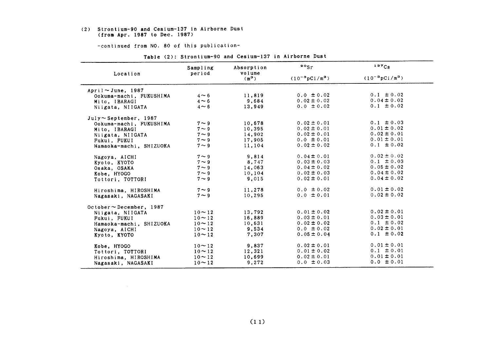#### (2) Strontium-90 and Cesium-137in Airborne Dust (from Apr.1987 to Dee.1987)

-continued from NO. 80 of this publication-

| Location                      | Sampling<br>period | Absorption<br>volume | $\cdot$ $\cdot$ sr         | 137Cs                      |
|-------------------------------|--------------------|----------------------|----------------------------|----------------------------|
|                               |                    | $(m^3)$              | $(10^{-3} \text{pCi/m}^3)$ | $(10^{-3} \text{pCi/m}^3)$ |
| $April ~$ June, 1987          |                    |                      |                            |                            |
| Ookuma-machi, FUKUSHIMA       | $4 \sim 6$         | 11,819               | $0.0 \pm 0.02$             | $0.1 \pm 0.02$             |
| Mito, IBARAGI                 | $4 \sim 6$         | 9,684                | $0.02 \pm 0.02$            | $0.04 \pm 0.02$            |
| Niigata, NIIGATA              | $4 \sim 6$         | 13,949               | $0.0 \pm 0.02$             | $0.1 \pm 0.02$             |
| $July \sim September$ , 1987  |                    |                      |                            |                            |
| Ookuma-machi, FUKUSHIMA       | $7 \sim 9$         | 10,678               | $0.02 \pm 0.01$            | $0.1 \pm 0.03$             |
| Mito, IBARAGI                 | $7 \sim 9$         | 10,395               | $0.02 \pm 0.01$            | $0.01 \pm 0.02$            |
| Niigata, NIIGATA              | $7 \sim 9$         | 14,902               | $0.02 \pm 0.01$            | $0.02 \pm 0.01$            |
| Fukui, FUKUI                  | $7 \sim 9$         | 17,905               | $0.0 \pm 0.01$             | $0.01 \pm 0.01$            |
| Hamaoka-machi, SHIZUOKA       | $7 \sim 9$         | 11,104               | $0.02 \pm 0.02$            | $0.1 \pm 0.02$             |
| Nagoya, AICHI                 | $7 \sim 9$         | 9.814                | $0.04 \pm 0.01$            | $0.02 \pm 0.02$            |
| Kyoto, KYOTO                  | $7 \sim 9$         | 8,747                | $0.03 \pm 0.03$            | $0.1 \pm 0.03$             |
| Osaka, OSAKA                  | $7 \sim 9$         | 14,063               | $0.04 \pm 0.02$            | $0.05 \pm 0.02$            |
| Kobe, HYOGO                   | $7 \sim 9$         | 10,104               | $0.02 \pm 0.03$            | $0.04 \pm 0.02$            |
| Tottori, TOTTORI              | $7 \sim 9$         | 9,015                | $0.02 \pm 0.01$            | $0.04 \pm 0.02$            |
| Hiroshima, HIROSHIMA          | $7 \sim 9$         | 11,278               | $0.0 \pm 0.02$             | $0.01 \pm 0.02$            |
| Nagasaki, NAGASAKI            | $7 \sim 9$         | 10,295               | $0.0 \pm 0.01$             | $0.02 \pm 0.02$            |
| October $\sim$ December, 1987 |                    |                      |                            |                            |
| Niigata, NIIGATA              | $10 - 12$          | 13,792               | $0.01 \pm 0.02$            | $0.02 \pm 0.01$            |
| Fukui, FUKUI                  | $10 \sim 12$       | 16,889               | $0.03 \pm 0.01$            | $0.03 \pm 0.01$            |
| Hamaoka-machi, SHIZUOKA       | $10 - 12$          | 10,631               | $0.02 \pm 0.02$            | $0.1 \pm 0.02$             |
| Nagoya, AICHI                 | $10 - 12$          | 9,534                | $0.0 \pm 0.02$             | $0.02 \pm 0.01$            |
| Kyoto, KYOTO                  | $10 - 12$          | 7,307                | $0.05 \pm 0.04$            | $0.1 \pm 0.02$             |
| Kobe, HYOGO                   | $10 - 12$          | 9,837                | $0.02 \pm 0.01$            | $0.01 \pm 0.01$            |
| Tottori, TOTTORI              | $10 - 12$          | 12,321               | $0.01 \pm 0.02$            | $0.1 \pm 0.01$             |
| Hiroshima, HIROSHIMA          | $10 \sim 12$       | 10,699               | $0.02 \pm 0.01$            | $0.01 \pm 0.01$            |
| Nagasaki, NAGASAKI            | $10 - 12$          | 9,272                | $0.0 \pm 0.03$             | $0.0 \pm 0.01$             |

Table (2): Strontium-90 and Cesium-137 in Airborne Dust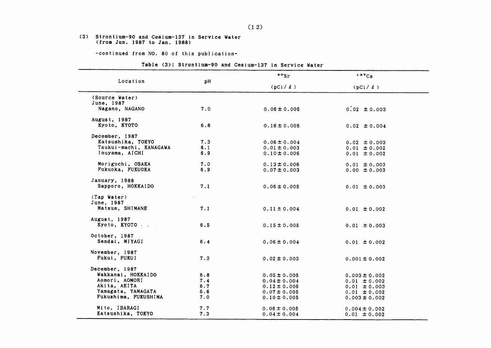#### (3) Strontium-90 and Cesium-137 in Service Water (from Jun. 1987 to Jan. 1988)

-continued from NO. 80 of this publication-

#### Table (3): Strontium-90 and Cesium-137 in Service Water

| Location                     | pH  | $\cdot \cdot$    | 137Cs             |
|------------------------------|-----|------------------|-------------------|
|                              |     | $(pCi / \ell)$   | (pCi / 2)         |
| (Source Water)<br>June, 1987 |     |                  |                   |
| Nagano, NAGANO               | 7.0 | $0.06 \pm 0.005$ | $0.02 \pm 0.003$  |
| August, 1987<br>Kyoto, KYOTO | 6.8 | $0.16 \pm 0.005$ | $0.02 \pm 0.004$  |
| December, 1987               |     |                  |                   |
| Katsushika, TOKYO            | 7.3 | $0.06 \pm 0.004$ | $0.02 \pm 0.003$  |
| Tsukui-machi, KANAGAWA       | 8.1 | $0.01 \pm 0.003$ | $0.01 \pm 0.002$  |
| Inuyama, AICHI               | 6.9 | $0.10 \pm 0.006$ | $0.01 \pm 0.002$  |
| Moriguchi, OSAKA             | 7.0 | $0.13 \pm 0.006$ | $0.01 \pm 0.003$  |
| Fukuoka, FUKUOKA             | 6.9 | $0.07 \pm 0.003$ | $0.00 \pm 0.003$  |
| January, 1988                |     |                  |                   |
| Sapporo, HOKKAIDO            | 7.1 | $0.06 \pm 0.005$ | $0.01 \pm 0.003$  |
| (Tap Water)<br>June, 1987    |     |                  |                   |
| Matsue, SHIMANE              | 7.1 | $0.11 \pm 0.004$ | $0.01 \pm 0.002$  |
| August, 1987                 |     |                  |                   |
| Kyoto, KYOTO                 | 6.5 | $0.15 \pm 0.005$ | $0.01 \pm 0.003$  |
| October, 1987                |     |                  |                   |
| Sendai, MIYAGI               | 6.4 | $0.06 \pm 0.004$ | $0.01 \pm 0.002$  |
| November, 1987               |     |                  |                   |
| Fukui, FUKUI                 | 7.3 | $0.02 \pm 0.003$ | $0.001 \pm 0.002$ |
| December, 1987               |     |                  |                   |
| Wakkanai, HOKKAIDO           | 6.8 | $0.05 \pm 0.005$ | $0.003 \pm 0.002$ |
| Aomori, AOMORI               | 7.4 | $0.04 \pm 0.004$ | $0.01 \pm 0.002$  |
| Akita, AKITA                 | 6.7 | $0.12 \pm 0.006$ | $0.01 \pm 0.003$  |
| Yamagata, YAMAGATA           | 6.8 | $0.07 \pm 0.005$ | $0.01 \pm 0.002$  |
| Fukushima, FUKUSHIMA         | 7.0 | $0.10 \pm 0.005$ | $0.003 \pm 0.002$ |
| Mito. IBARAGI                | 7.7 | $0.06 \pm 0.005$ | $0.004 \pm 0.002$ |
| Katsushika, TOKYO            | 7.3 | $0.04 \pm 0.004$ | $0.01 \pm 0.002$  |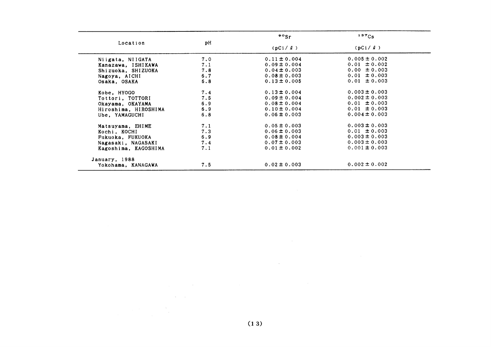|                      |     | $\frac{90}{5}$   | $137C_S$          |
|----------------------|-----|------------------|-------------------|
| Location             | pH  | $(pCi / \ell)$   | (pCi /l)          |
| Niigata, NIIGATA     | 7.0 | $0.11 \pm 0.004$ | $0.005 \pm 0.002$ |
| Kanazawa, ISHIKAWA   | 7.1 | $0.09 \pm 0.004$ | $0.01 \pm 0.002$  |
| Shizuoka, SHIZUOKA   | 7.8 | $0.04 \pm 0.003$ | $0.00 \pm 0.003$  |
| Nagoya, AICHI        | 6.7 | $0.08 \pm 0.003$ | $0.01 \pm 0.003$  |
| Osaka, OSAKA         | 6.8 | $0.13 \pm 0.005$ | $0.01 \pm 0.003$  |
| Kobe, HYOGO          | 7.4 | $0.13 \pm 0.004$ | $0.003 \pm 0.003$ |
| Tottori, TOTTORI     | 7.5 | $0.09 \pm 0.004$ | $0.002 \pm 0.003$ |
| Okayama, OKAYAMA     | 6.9 | $0.08 \pm 0.004$ | $0.01 \pm 0.003$  |
| Hiroshima, HIROSHIMA | 6.9 | $0.10 \pm 0.004$ | $0.01 \pm 0.003$  |
| Ube, YAMAGUCHI       | 6.8 | $0.06 \pm 0.003$ | $0.004 \pm 0.003$ |
| Matsuyama, EHIME     | 7.1 | $0.05 \pm 0.003$ | $0.003 \pm 0.003$ |
| Kochi, KOCHI         | 7.3 | $0.06 \pm 0.003$ | $0.01 \pm 0.003$  |
| Fukuoka, FUKUOKA     | 6.9 | $0.08 \pm 0.004$ | $0.003 \pm 0.003$ |
| Nagasaki, NAGASAKI   | 7.4 | $0.07 \pm 0.003$ | $0.003 \pm 0.003$ |
| Kagoshima, KAGOSHIMA | 7.1 | $0.01 \pm 0.002$ | $0.001 \pm 0.003$ |
| January, 1988        |     |                  |                   |
| Yokohama, KANAGAWA   | 7.5 | $0.02 \pm 0.003$ | $0.002 \pm 0.002$ |

 $\label{eq:2.1} \frac{1}{\sqrt{2}}\left(\frac{1}{\sqrt{2}}\right)^{2} \left(\frac{1}{\sqrt{2}}\right)^{2} \left(\frac{1}{\sqrt{2}}\right)^{2} \left(\frac{1}{\sqrt{2}}\right)^{2} \left(\frac{1}{\sqrt{2}}\right)^{2} \left(\frac{1}{\sqrt{2}}\right)^{2} \left(\frac{1}{\sqrt{2}}\right)^{2} \left(\frac{1}{\sqrt{2}}\right)^{2} \left(\frac{1}{\sqrt{2}}\right)^{2} \left(\frac{1}{\sqrt{2}}\right)^{2} \left(\frac{1}{\sqrt{2}}\right)^{2} \left(\$ 

 $\label{eq:2} \begin{split} \mathcal{L}_{\text{max}}(\mathbf{x}) & = \mathcal{L}_{\text{max}}(\mathbf{x}) \\ & = \mathcal{L}_{\text{max}}(\mathbf{x}) + \mathcal{L}_{\text{max}}(\mathbf{x}) \\ & = \mathcal{L}_{\text{max}}(\mathbf{x}) + \mathcal{L}_{\text{max}}(\mathbf{x}) \end{split}$ 

 $\mathcal{L}^{\text{max}}_{\text{max}}$  , where  $\mathcal{L}^{\text{max}}_{\text{max}}$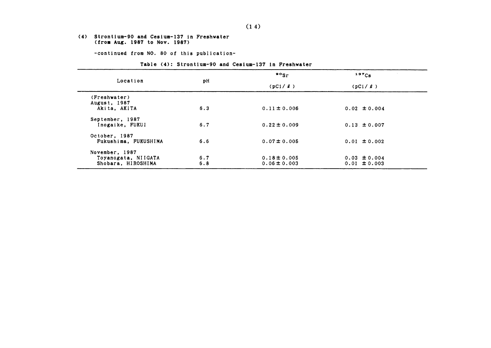#### (4) Strontium-90 and Cesium-137 in Freshwater (from Aug. 1987 to Nov. 1987)

-continued from NO. 80 of this publication-

#### Table (4): Strontium-90 and Cesium-137 in Freshwater

| Location                                  |            | $\frac{80}{5}$                       | 137Cg                                |  |  |
|-------------------------------------------|------------|--------------------------------------|--------------------------------------|--|--|
|                                           | pH         | (pCi/2)                              | (pCi/2)                              |  |  |
| (Freshwater)                              |            |                                      |                                      |  |  |
| August, 1987<br>Akita, AKITA              | 6.3        | $0.11 \pm 0.006$                     | $0.02 \pm 0.004$                     |  |  |
| September, 1987<br>Inogaike, FUKUI        | 6.7        | $0.22 \pm 0.009$                     | $0.13 \pm 0.007$                     |  |  |
| October, 1987<br>Fukushima, FUKUSHIMA     | 6.6        | $0.07 \pm 0.005$                     | $0.01 \pm 0.002$                     |  |  |
| November, 1987                            |            |                                      |                                      |  |  |
| Toyanogata, NIIGATA<br>Shobara, HIROSHIMA | 6.7<br>6.8 | $0.18 \pm 0.005$<br>$0.06 \pm 0.003$ | $0.03 \pm 0.004$<br>$0.01 \pm 0.003$ |  |  |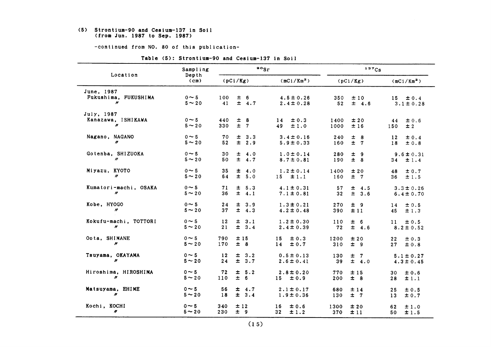#### (5) Strontium-90 and Cesium-137 in Soil (from Jun. 1987 to Sep. 1987)

-continued from NO. 80 of this publication-

|                                                     | Sampling                  |           | $\frac{80}{s}$               |                                  | 137Cs                        |                                                                 |  |
|-----------------------------------------------------|---------------------------|-----------|------------------------------|----------------------------------|------------------------------|-----------------------------------------------------------------|--|
| Location                                            | Depth<br>(cm)             |           | (pCi/Kg)                     | $(mCi/Km^2)$                     | (pCi/Kg)                     | (mCi/Km <sup>2</sup> )                                          |  |
| June, 1987                                          |                           |           |                              |                                  |                              |                                                                 |  |
| Fukushima, FUKUSHIMA<br>$\boldsymbol{\prime\prime}$ | $0 \sim 5$<br>$5 \sim 20$ | 100<br>41 | $\pm$<br>6<br>$\pm$          | $4.5 \pm 0.26$                   | ±10<br>350                   | 15<br>$\pm$ 0.4                                                 |  |
|                                                     |                           |           | 4.7                          | $2.4 \pm 0.28$                   | 52                           | $\pm$ 4.6<br>$3.1 \pm 0.28$                                     |  |
| July, 1987                                          |                           |           |                              |                                  |                              |                                                                 |  |
| Kanazawa, ISHIKAWA                                  | $0 \sim 5$                | 440       | ±.<br>- 8                    | $\pm 0.3$<br>14                  | 1400<br>±20                  | ± 0.6<br>44                                                     |  |
| W                                                   | $5 - 20$                  | 330       | 士<br>$\mathbf{7}$            | ±1.0<br>49                       | 1000<br>±16                  | 150<br>± 2                                                      |  |
| Nagano, NAGANO                                      | $0 \sim 5$                | 70        | 士<br>3.3                     | $3.4 \pm 0.16$                   | $\pm$<br>240                 | $\overline{\mathbf{8}}$<br>12<br>± 0.4                          |  |
| $\prime\prime$                                      | $5 \sim 20$               | 52        | $\pm$<br>2.9                 | $5.9 \pm 0.33$                   | $\pm$<br>160                 | $\overline{7}$<br>18<br>± 0.8                                   |  |
|                                                     | $0 \sim 5$                |           |                              |                                  |                              |                                                                 |  |
| Gotenba, SHIZUOKA<br>$\boldsymbol{\prime\prime}$    | $5 - 20$                  | 30<br>50  | $\pm$ 4.0<br>士<br>4.7        | $1.0 \pm 0.14$<br>$8.7 \pm 0.81$ | $\pm$<br>280<br>$\pm$<br>190 | - 9<br>$9.6 \pm 0.31$<br>- 8<br>±1.4<br>34                      |  |
|                                                     |                           |           |                              |                                  |                              |                                                                 |  |
| Miyazu, KYOTO                                       | $0 \sim 5$                | 35        | 士<br>4.0                     | $1.2 \pm 0.14$                   | 1400<br>±20                  | 48<br>± 0.7                                                     |  |
| $\prime\prime$                                      | $5 \sim 20$               | 64        | $\pm$<br>5.0                 | $15 \pm 1.1$                     | 160<br>$±$ 7                 | ±1.5<br>36                                                      |  |
| Kumatori-machi, OSAKA                               | $0 \sim 5$                | 71        | 士<br>5.3                     | $4.1 \pm 0.31$                   | 57                           | $\pm$ 4.5<br>$3.3 \pm 0.26$                                     |  |
| $\prime\prime$                                      | $5 \sim 20$               | 36        | $\pm$<br>4.1                 | $7.1 \pm 0.81$                   | 士<br>32                      | 3.6<br>$6.4 \pm 0.70$                                           |  |
| Kobe, HYOGO                                         | $0 \sim 5$                |           | 3.9                          |                                  |                              |                                                                 |  |
| $\boldsymbol{\prime\prime}$                         | $5 - 20$                  | 24<br>37  | 士<br>士<br>4.3                | $1.3 \pm 0.21$<br>$4.2 \pm 0.48$ | 270<br>± 9<br>390<br>±11     | 14<br>±0.5<br>45<br>±1.3                                        |  |
|                                                     |                           |           |                              |                                  |                              |                                                                 |  |
| Kokufu-machi, TOTTORI                               | $0 \sim 5$                | 12        | 士<br>3.1                     | $1.2 \pm 0.30$                   | 110<br>士                     | 6<br>± 0.5<br>11                                                |  |
| $\boldsymbol{\prime\prime}$                         | $5 \sim 20$               | 21        | $\pm$<br>3.4                 | $2.4 \pm 0.39$                   | $\pm$<br>72                  | 4.6<br>$8.2 \pm 0.52$                                           |  |
| Oota, SHIMANE                                       | $0 \sim 5$                | 790       | ±15                          | 15<br>$\pm 0.3$                  | 1200<br>±20                  | 22<br>±0.3                                                      |  |
| n                                                   | $5 \sim 20$               | 170       | $\pm$<br>8                   | ± 0.7<br>14                      | 310<br>± 9                   | ±0.8<br>27                                                      |  |
| Tsuyama, OKAYAMA                                    | $0 \sim 5$                |           |                              |                                  |                              |                                                                 |  |
| n                                                   | $5 - 20$                  | 12<br>24  | $\pm$<br>3.2<br>$\pm$<br>3.7 | $0.5 \pm 0.13$<br>$2.6 \pm 0.41$ | 130<br>士<br>39               | $\overline{7}$<br>$5.1 \pm 0.27$<br>$\pm$ 4.0<br>$4.3 \pm 0.45$ |  |
|                                                     |                           |           |                              |                                  |                              |                                                                 |  |
| Hiroshima, HIROSHIMA                                | $0 \sim 5$                | 72        | Ŧ.<br>5.2                    | $2.8 \pm 0.20$                   | 770<br>±15                   | 30<br>±0.6                                                      |  |
| $\boldsymbol{\prime\prime}$                         | $5 - 20$                  | 110       | $\pm$<br>6                   | ± 0.9<br>15                      | ± 8<br>200                   | ±1.1<br>28                                                      |  |
| Matsuyama, EHIME                                    | $0 \sim 5$                | 56        | $\pm$ 4.7                    | $2.1 \pm 0.17$                   | 680<br>±14                   | 25<br>±0.5                                                      |  |
| M                                                   | $5 - 20$                  | 18        | $\pm$<br>3.4                 | $1.9 \pm 0.36$                   | $±$ 7<br>130                 | ± 0.7<br>13                                                     |  |
|                                                     |                           |           |                              |                                  |                              |                                                                 |  |
| Kochi, KOCHI<br>M                                   | $0 \sim 5$<br>$5 \sim 20$ | 340       | ±12                          | 16<br>$\pm 0.6$                  | 1300<br>±20                  | 62<br>±1.0                                                      |  |
|                                                     |                           | 230       | ± 9                          | ±1.2<br>32 <sub>2</sub>          | 370<br>±11                   | ±1.5<br>50                                                      |  |

Table (5): Strontium-90 and Cesium-137 in Soil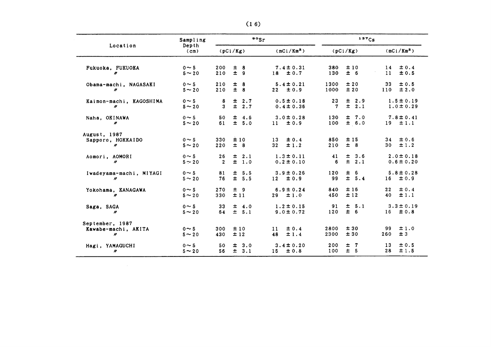| Location                                               | Sampling                  |                    | $\frac{80}{5}$               |                                                | $137C_S$                                   |                                  |  |  |
|--------------------------------------------------------|---------------------------|--------------------|------------------------------|------------------------------------------------|--------------------------------------------|----------------------------------|--|--|
|                                                        | Depth<br>(cm)             |                    | (pCi/Kg)                     | (mCi/Km <sup>2</sup> )                         | (pCi/Kg)                                   | (mCi/Km <sup>2</sup> )           |  |  |
| Fukuoka, FUKUOKA<br>W                                  | $0 \sim 5$<br>$5 \sim 20$ | 200<br>210         | 士<br>- 8<br>$\pm$<br>- 9     | $7.4 \pm 0.31$<br>$18 \pm 0.7$                 | ±10<br>380<br>± 6<br>130                   | ± 0.4<br>14<br>± 0.5<br>11       |  |  |
| Obama-machi, NAGASAKI<br>n                             | $0 \sim 5$<br>$5 - 20$    | 210<br>210         | 士<br>8<br>$\pm$<br>-8        | $5.4 \pm 0.21$<br>$\pm 0.9$<br>22              | 1300<br>±20<br>±20<br>1000                 | 33<br>± 0.5<br>± 2.0<br>110      |  |  |
| Kaimon-machi. KAGOSHIMA<br>n                           | $0 \sim 5$<br>$5 - 20$    | 8<br>3             | $\pm$ 2.7<br>$\pm$ 2.7       | $0.5 \pm 0.18$<br>$0.4 \pm 0.36$               | 23<br>$\pm$ 2.9<br>$\pm$<br>2.1<br>7       | $1.5 \pm 0.19$<br>$1.0 \pm 0.29$ |  |  |
| Naha, OKINAWA<br>n                                     | $0 \sim 5$<br>$5 - 20$    | 50<br>61           | $\pm$ 4.6<br>± 5.0           | $3.0 \pm 0.28$<br>$\pm 0.9$<br>11              | $\pm$ 7.0<br>130<br>± 6.0<br>100           | $7.8 \pm 0.41$<br>±1.1<br>19     |  |  |
| August, 1987<br>Sapporo, HOKKAIDO<br>n                 | $0 \sim 5$<br>$5 \sim 20$ | 330<br>220         | ±10<br>± 8                   | 13<br>$\pm$ 0.4<br>±1.2<br>32 <sub>2</sub>     | ±15<br>850<br>$±$ 8<br>210                 | 34<br>± 0.6<br>$\pm$ 1.2<br>30   |  |  |
| Aomori, AOMORI<br>$\boldsymbol{\prime\prime}$          | $0 \sim 5$<br>$5 \sim 20$ | 26<br>$\mathbf{2}$ | $\pm$ 2.1<br>$\pm$<br>1.0    | $1.3 \pm 0.11$<br>$0.2 \pm 0.10$               | $\pm$ 3.6<br>41<br>$\pm$ 2.1<br>6          | $2.0 \pm 0.18$<br>$0.6 \pm 0.20$ |  |  |
| Iwadeyama-machi, MIYAGI<br>$\boldsymbol{\prime\prime}$ | $0 \sim 5$<br>$5 \sim 20$ | 81<br>76           | 5.5<br>$\pm$<br>$\pm$<br>5.5 | $3.9 \pm 0.26$<br>±0.9<br>12                   | 120<br>士<br>6<br>± 5.4<br>99               | $5.8 \pm 0.28$<br>±0.9<br>16     |  |  |
| Yokohama, KANAGAWA<br>n                                | $0 \sim 5$<br>$5 \sim 20$ | 270<br>330         | ± 9<br>±11                   | $6.9 \pm 0.24$<br>$\pm 1.0$<br>29              | ±16<br>840<br>±12<br>450                   | ± 0.4<br>22<br>±1.1<br>40        |  |  |
| Saga, SAGA<br>n                                        | $0 \sim 5$<br>$5 - 20$    | 33<br>64           | $\pm$ 4.0<br>± 5.1           | $1.2 \pm 0.15$<br>$9.0 \pm 0.72$               | ± 5.1<br>91<br>$\pm$<br>$6^{\circ}$<br>120 | $3.3 \pm 0.19$<br>±0.8<br>16     |  |  |
| September, 1987<br>Kawabe-machi, AKITA<br>n            | $0 \sim 5$<br>$5 - 20$    | 300<br>430         | ±10<br>±12                   | ± 0.4<br>11<br>±1.4<br>48                      | 2800<br>±30<br>±30<br>2300                 | ±1.0<br>99<br>± 3<br>260         |  |  |
| Hagi, YAMAGUCHI<br>W                                   | $0 \sim 5$<br>$5 - 20$    | 50<br>56           | 3.0<br>士<br>$\pm$ 3.1        | $3.4 \pm 0.20$<br>$\pm$ 0.8<br>15 <sub>1</sub> | 士<br>- 7<br>200<br>$\pm$<br>100<br>- 5     | ±0.5<br>13<br>±1.5<br>28         |  |  |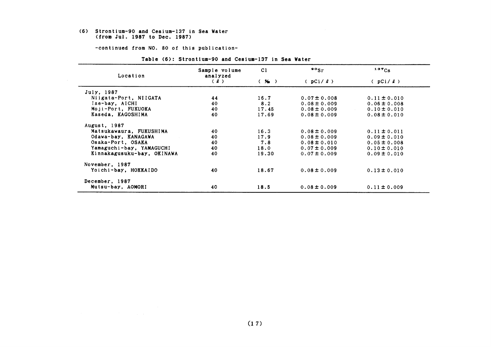#### (6) Strontium-90 and Cesium-137 in Sea Water (fron JⅦ1.1987 to Dee.1987)

 $\sim 10^7$ 

-continued from NO. 80 of this publication-

| Location                   | Sample volume<br>analyzed | C1        | $\frac{1}{2}$    | $137C_S$         |  |
|----------------------------|---------------------------|-----------|------------------|------------------|--|
|                            | (1)                       | $($ % $)$ | (pCi/2)          | (pCi/2)          |  |
| July, 1987                 |                           |           |                  |                  |  |
| Niigata-Port, NIIGATA      | 44                        | 16.7      | $0.07 \pm 0.008$ | $0.11 \pm 0.010$ |  |
| Ise-bay, AICHI             | 40                        | 8.2       | $0.08 \pm 0.009$ | $0.06 \pm 0.008$ |  |
| Moji-Port, FUKUOKA         | 40                        | 17.45     | $0.08 \pm 0.009$ | $0.10 \pm 0.010$ |  |
| Kaseda, KAGOSHIMA          | 40                        | 17.69     | $0.08 \pm 0.009$ | $0.08 \pm 0.010$ |  |
| August, 1987               |                           |           |                  |                  |  |
| Matsukawaura, FUKUSHIMA    | 40                        | 16.3      | $0.08 \pm 0.009$ | $0.11 \pm 0.011$ |  |
| Odawa-bay, KANAGAWA        | 40                        | 17.9      | $0.08 \pm 0.009$ | $0.09 \pm 0.010$ |  |
| Osaka-Port, OSAKA          | 40                        | 7.8       | $0.08 \pm 0.010$ | $0.05 \pm 0.008$ |  |
| Yamaguchi-bay, YAMAGUCHI   | 40                        | 18.0      | $0.07 \pm 0.009$ | $0.10 \pm 0.010$ |  |
| Kinnakagusuku-bay, OKINAWA | 40                        | 19.30     | $0.07 \pm 0.009$ | $0.09 \pm 0.010$ |  |
| November, 1987             |                           |           |                  |                  |  |
| Yoichi-bay, HOKKAIDO       | 40                        | 18.67     | $0.08 \pm 0.009$ | $0.13 \pm 0.010$ |  |
| December, 1987             |                           |           |                  |                  |  |
| Mutsu-bay, AOMORI          | 40                        | 18.5      | $0.08 \pm 0.009$ | $0.11 \pm 0.009$ |  |

#### Table (6): Strontium-90 and Cesium-137 in Sea Water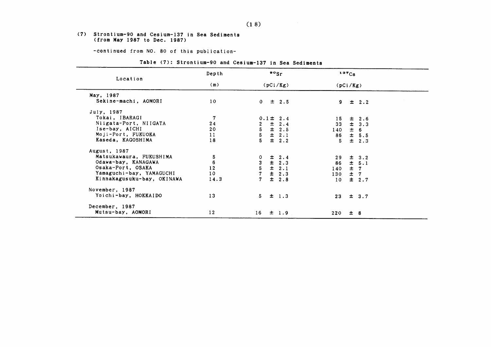#### (7) Strontium-90 and Cesium-137 in Sea Sediments (from May 1987 to Dec. 1987)

-continued from NO. 80 of this publication-

#### Table (7): Strontium-90 and Cesium-137 in Sea Sediments

| Location                   | Depth | $\cdot$ osr    |  | $137C_8$      |                 |       |                |  |
|----------------------------|-------|----------------|--|---------------|-----------------|-------|----------------|--|
|                            | (m)   | (pCi/Kg)       |  |               | (pCi/Kg)        |       |                |  |
| May, 1987                  |       |                |  |               |                 |       |                |  |
| Sekine-machi, AOMORI       | 10    |                |  | $0 \pm 2.5$   | 9               |       | $\pm$ 2.2      |  |
| July, 1987                 |       |                |  |               |                 |       |                |  |
| Tokai, IBARAGI             | 7     |                |  | $0.1 \pm 2.4$ | 15              |       | $\pm$ 2.6      |  |
| Niigata-Port, NIIGATA      | 24    | 2              |  | $\pm$ 2.4     | 33 <sub>o</sub> |       | ± 3.3          |  |
| Ise-bay, AICHI             | 20    | 5              |  | $\pm$ 2.5     | 140             |       | ± 6            |  |
| Moji-Port, FUKUOKA         | 11    | 5              |  | $\pm$ 2.1     | 86              |       | ± 5.5          |  |
| Kaseda, KAGOSHIMA          | 18    | 5 <sup>1</sup> |  | $\pm$ 2.2     | 5               |       | $\pm$ 2.3      |  |
| August, 1987               |       |                |  |               |                 |       |                |  |
| Matsukawaura, FUKUSHIMA    | 5     | $\mathbf{o}$   |  | $\pm$ 2.4     | 29              | 土     | 3.2            |  |
| Odawa-bay, KANAGAWA        | 6     | $\mathbf{3}$   |  | $\pm$ 2.3     | 86              |       | $\pm$ 5.1      |  |
| Osaka-Port, OSAKA          | 12    |                |  | $\pm$ 2.1     | 140             | 土     | $\overline{7}$ |  |
| Yamaguchi-bay, YAMAGUCHI   | 10    | $\frac{5}{7}$  |  | $\pm$ 2.3     | 130             | $\pm$ | $\overline{7}$ |  |
| Kinnakagusuku-bay, OKINAWA | 14.3  | 7              |  | $\pm$ 2.8     | 10              |       | $\pm$ 2.7      |  |
| November, 1987             |       |                |  |               |                 |       |                |  |
| Yoichi-bay, HOKKAIDO       | 13    |                |  | $5 \pm 1.3$   |                 |       | $23 \pm 3.7$   |  |
| December, 1987             |       |                |  |               |                 |       |                |  |
| Mutsu-bay, AOMORI          | 12    | 16             |  | $\pm$ 1.9     | 220             | ± 8   |                |  |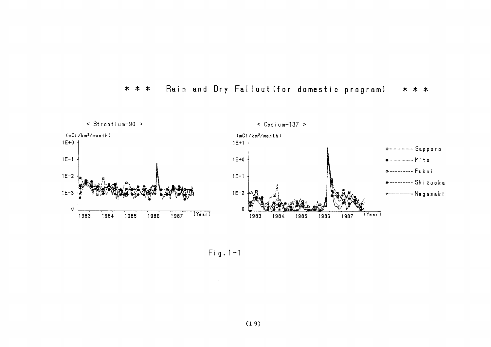

#### Rain and Dry Fallout (for domestic program)  $* * *$ \* \* \*

 $Fig. 1-1$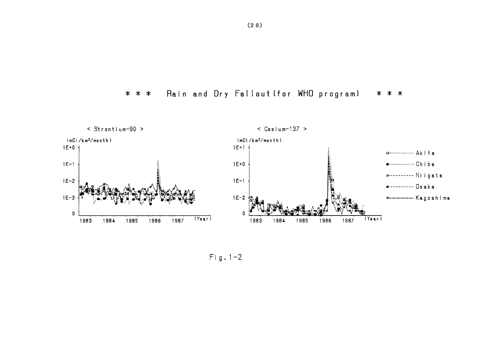Rain and Dry Fallout (for WHO program)  $* * *$ \* \* \*



 $Fig. 1-2$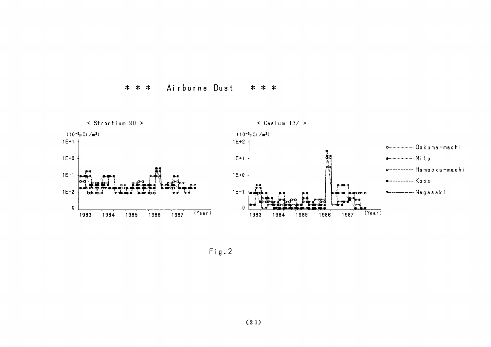



in 19

 $\sim$ 

 $\sim 10^7$ 

 $Fig. 2$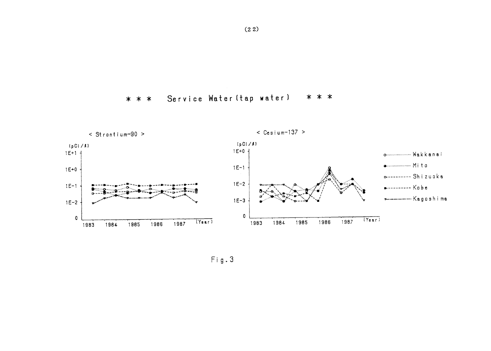#### Service Water (tap water) \* \* \* \* \* \*



 $Fig. 3$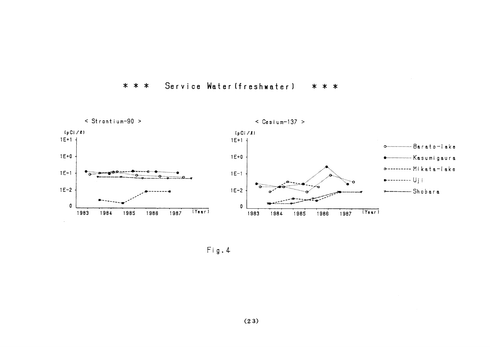#### Service Water (freshwater) \* \* \* \* \* \*



 $Fig. 4$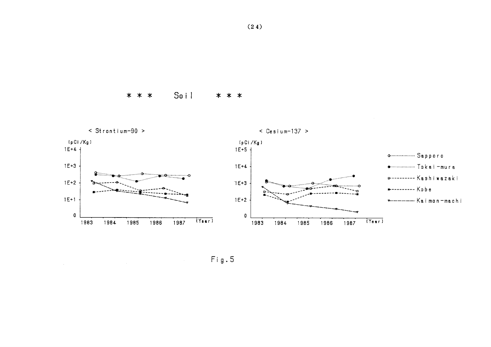\* \* \* Soil \* \* \*

 $\sim 10^{-11}$ 



Fi9.5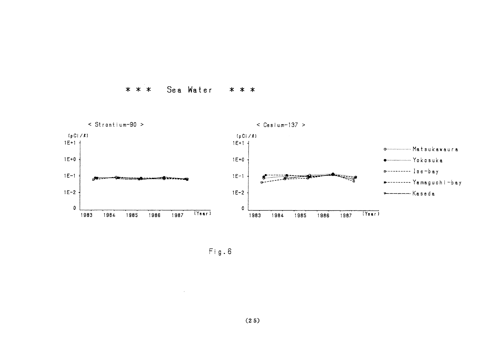#### $* * *$ Sea Water \* \* \*



 $Fig. 6$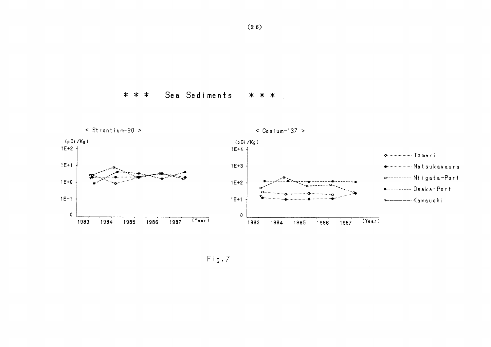Sea Sediments \* \* \*  $* * *$ 



 $Fig.7$